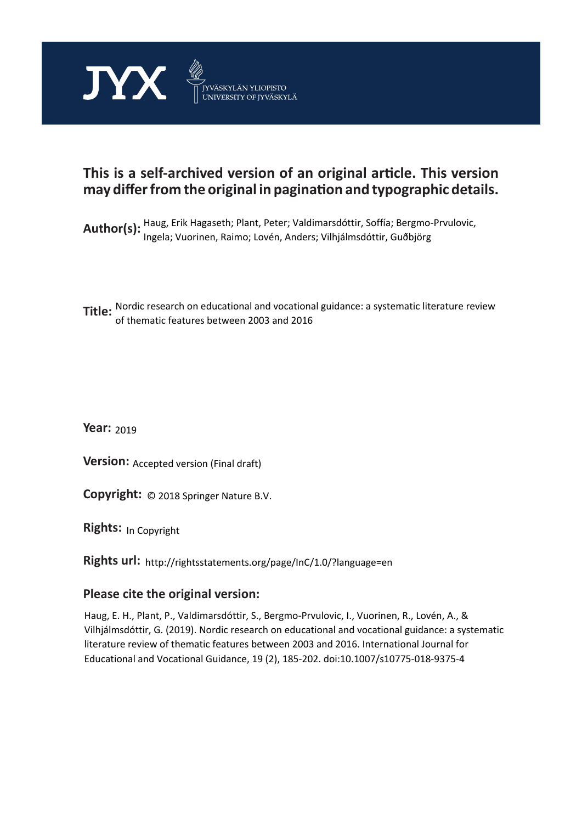

# **This is a self-archived version of an original article. This version may differ from the original in pagination and typographic details.**

Author(s): Haug, Erik Hagaseth; Plant, Peter; Valdimarsdóttir, Soffía; Bergmo-Prvulovic,<br>Author(s): Ingela Mussices, Beimaul suín, Andere Wikiálnodáttir, Guðhijing Ingela; Vuorinen, Raimo; Lovén, Anders; Vilhjálmsdóttir, Guðbjörg

**Title:**  Nordic research on educational and vocational guidance: a systematic literature review of thematic features between 2003 and 2016

**Year:**  2019

**Version: Accepted version (Final draft)** 

**Version:** Accepted version (Final draft)<br>**Copyright:** © 2018 Springer Nature B.V.

**Rights:** In Copyright

**Rights url:**  http://rightsstatements.org/page/InC/1.0/?language=en

# **Please cite the original version:**

Haug, E. H., Plant, P., Valdimarsdóttir, S., Bergmo-Prvulovic, I., Vuorinen, R., Lovén, A., & Vilhjálmsdóttir, G. (2019). Nordic research on educational and vocational guidance: a systematic literature review of thematic features between 2003 and 2016. International Journal for Educational and Vocational Guidance, 19 (2), 185-202. doi:10.1007/s10775-018-9375-4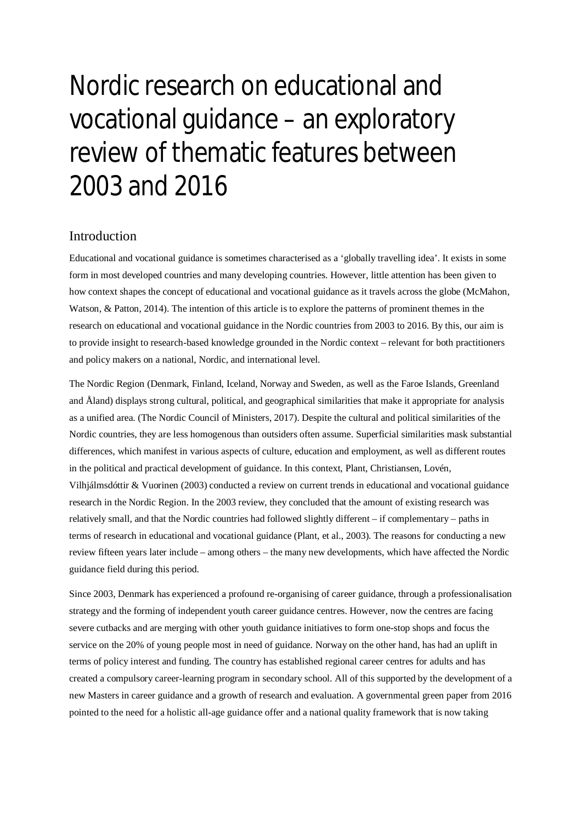# Nordic research on educational and vocational guidance – an exploratory review of thematic features between 2003 and 2016

# Introduction

Educational and vocational guidance is sometimes characterised as a 'globally travelling idea'. It exists in some form in most developed countries and many developing countries. However, little attention has been given to how context shapes the concept of educational and vocational guidance as it travels across the globe (McMahon, Watson, & Patton, 2014). The intention of this article is to explore the patterns of prominent themes in the research on educational and vocational guidance in the Nordic countries from 2003 to 2016. By this, our aim is to provide insight to research-based knowledge grounded in the Nordic context – relevant for both practitioners and policy makers on a national, Nordic, and international level.

The Nordic Region (Denmark, Finland, Iceland, Norway and Sweden, as well as the Faroe Islands, Greenland and Åland) displays strong cultural, political, and geographical similarities that make it appropriate for analysis as a unified area. (The Nordic Council of Ministers, 2017). Despite the cultural and political similarities of the Nordic countries, they are less homogenous than outsiders often assume. Superficial similarities mask substantial differences, which manifest in various aspects of culture, education and employment, as well as different routes in the political and practical development of guidance. In this context, Plant, Christiansen, Lovén, Vilhjálmsdóttir & Vuorinen (2003) conducted a review on current trends in educational and vocational guidance research in the Nordic Region. In the 2003 review, they concluded that the amount of existing research was relatively small, and that the Nordic countries had followed slightly different – if complementary – paths in terms of research in educational and vocational guidance (Plant, et al., 2003). The reasons for conducting a new review fifteen years later include – among others – the many new developments, which have affected the Nordic guidance field during this period.

Since 2003, Denmark has experienced a profound re-organising of career guidance, through a professionalisation strategy and the forming of independent youth career guidance centres. However, now the centres are facing severe cutbacks and are merging with other youth guidance initiatives to form one-stop shops and focus the service on the 20% of young people most in need of guidance. Norway on the other hand, has had an uplift in terms of policy interest and funding. The country has established regional career centres for adults and has created a compulsory career-learning program in secondary school. All of this supported by the development of a new Masters in career guidance and a growth of research and evaluation. A governmental green paper from 2016 pointed to the need for a holistic all-age guidance offer and a national quality framework that is now taking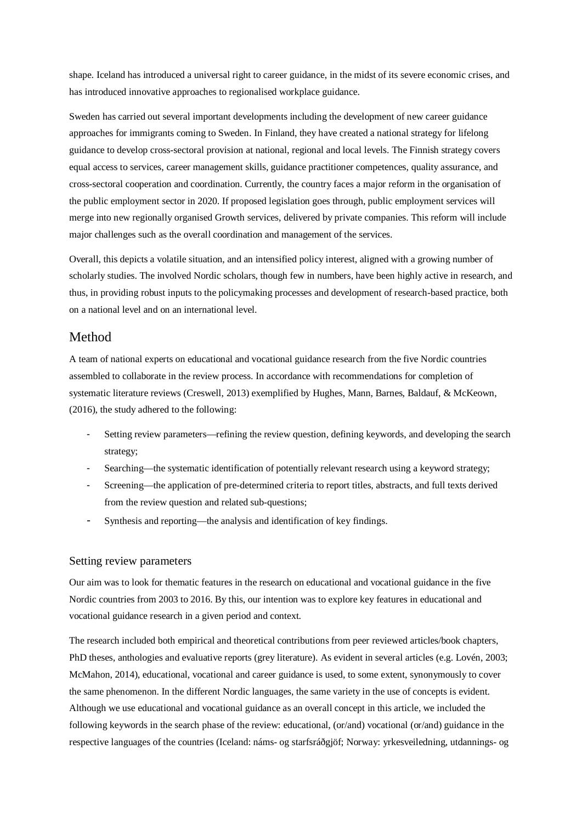shape. Iceland has introduced a universal right to career guidance, in the midst of its severe economic crises, and has introduced innovative approaches to regionalised workplace guidance.

Sweden has carried out several important developments including the development of new career guidance approaches for immigrants coming to Sweden. In Finland, they have created a national strategy for lifelong guidance to develop cross-sectoral provision at national, regional and local levels. The Finnish strategy covers equal access to services, career management skills, guidance practitioner competences, quality assurance, and cross-sectoral cooperation and coordination. Currently, the country faces a major reform in the organisation of the public employment sector in 2020. If proposed legislation goes through, public employment services will merge into new regionally organised Growth services, delivered by private companies. This reform will include major challenges such as the overall coordination and management of the services.

Overall, this depicts a volatile situation, and an intensified policy interest, aligned with a growing number of scholarly studies. The involved Nordic scholars, though few in numbers, have been highly active in research, and thus, in providing robust inputs to the policymaking processes and development of research-based practice, both on a national level and on an international level.

# Method

A team of national experts on educational and vocational guidance research from the five Nordic countries assembled to collaborate in the review process. In accordance with recommendations for completion of systematic literature reviews (Creswell, 2013) exemplified by Hughes, Mann, Barnes, Baldauf, & McKeown, (2016), the study adhered to the following:

- Setting review parameters—refining the review question, defining keywords, and developing the search strategy;
- Searching—the systematic identification of potentially relevant research using a keyword strategy;
- Screening—the application of pre-determined criteria to report titles, abstracts, and full texts derived from the review question and related sub-questions;
- Synthesis and reporting—the analysis and identification of key findings.

### Setting review parameters

Our aim was to look for thematic features in the research on educational and vocational guidance in the five Nordic countries from 2003 to 2016. By this, our intention was to explore key features in educational and vocational guidance research in a given period and context.

The research included both empirical and theoretical contributions from peer reviewed articles/book chapters, PhD theses, anthologies and evaluative reports (grey literature). As evident in several articles (e.g. Lovén, 2003; McMahon, 2014), educational, vocational and career guidance is used, to some extent, synonymously to cover the same phenomenon. In the different Nordic languages, the same variety in the use of concepts is evident. Although we use educational and vocational guidance as an overall concept in this article, we included the following keywords in the search phase of the review: educational, (or/and) vocational (or/and) guidance in the respective languages of the countries (Iceland: náms- og starfsráðgjöf; Norway: yrkesveiledning, utdannings- og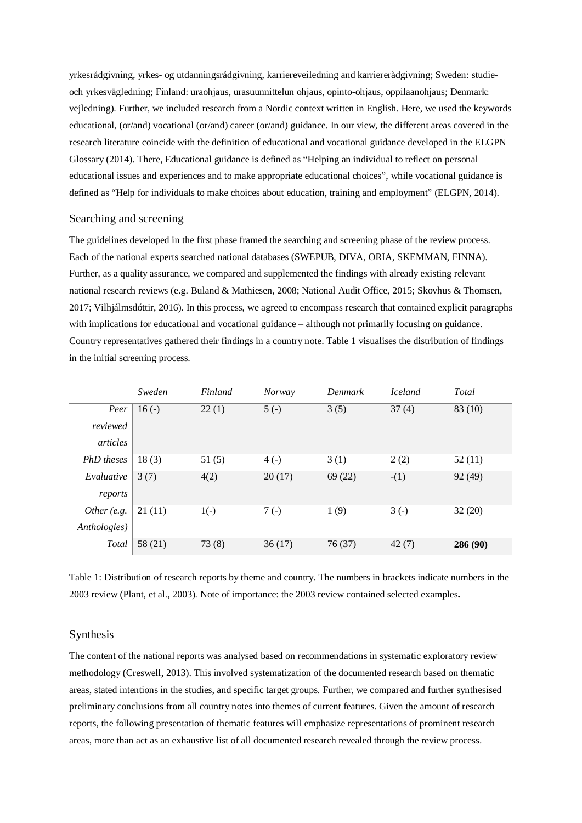yrkesrådgivning, yrkes- og utdanningsrådgivning, karriereveiledning and karriererådgivning; Sweden: studieoch yrkesvägledning; Finland: uraohjaus, urasuunnittelun ohjaus, opinto-ohjaus, oppilaanohjaus; Denmark: vejledning). Further, we included research from a Nordic context written in English. Here, we used the keywords educational, (or/and) vocational (or/and) career (or/and) guidance. In our view, the different areas covered in the research literature coincide with the definition of educational and vocational guidance developed in the ELGPN Glossary (2014). There, Educational guidance is defined as "Helping an individual to reflect on personal educational issues and experiences and to make appropriate educational choices", while vocational guidance is defined as "Help for individuals to make choices about education, training and employment" (ELGPN, 2014).

#### Searching and screening

The guidelines developed in the first phase framed the searching and screening phase of the review process. Each of the national experts searched national databases (SWEPUB, DIVA, ORIA, SKEMMAN, FINNA). Further, as a quality assurance, we compared and supplemented the findings with already existing relevant national research reviews (e.g. Buland & Mathiesen, 2008; National Audit Office, 2015; Skovhus & Thomsen, 2017; Vilhjálmsdóttir, 2016). In this process, we agreed to encompass research that contained explicit paragraphs with implications for educational and vocational guidance – although not primarily focusing on guidance. Country representatives gathered their findings in a country note. Table 1 visualises the distribution of findings in the initial screening process.

|              | Sweden  | Finland | <b>Norway</b> | Denmark | <b>Iceland</b> | Total    |
|--------------|---------|---------|---------------|---------|----------------|----------|
| Peer         | $16(-)$ | 22(1)   | $5(-)$        | 3(5)    | 37(4)          | 83 (10)  |
| reviewed     |         |         |               |         |                |          |
| articles     |         |         |               |         |                |          |
| PhD theses   | 18(3)   | 51(5)   | $4(-)$        | 3(1)    | 2(2)           | 52(11)   |
| Evaluative   | 3(7)    | 4(2)    | 20(17)        | 69(22)  | $-(1)$         | 92 (49)  |
| reports      |         |         |               |         |                |          |
| Other (e.g.  | 21(11)  | $1(-)$  | $7(-)$        | 1(9)    | $3(-)$         | 32(20)   |
| Anthologies) |         |         |               |         |                |          |
| Total        | 58 (21) | 73(8)   | 36(17)        | 76 (37) | 42(7)          | 286 (90) |

Table 1: Distribution of research reports by theme and country. The numbers in brackets indicate numbers in the 2003 review (Plant, et al., 2003). Note of importance: the 2003 review contained selected examples**.**

### Synthesis

The content of the national reports was analysed based on recommendations in systematic exploratory review methodology (Creswell, 2013). This involved systematization of the documented research based on thematic areas, stated intentions in the studies, and specific target groups. Further, we compared and further synthesised preliminary conclusions from all country notes into themes of current features. Given the amount of research reports, the following presentation of thematic features will emphasize representations of prominent research areas, more than act as an exhaustive list of all documented research revealed through the review process.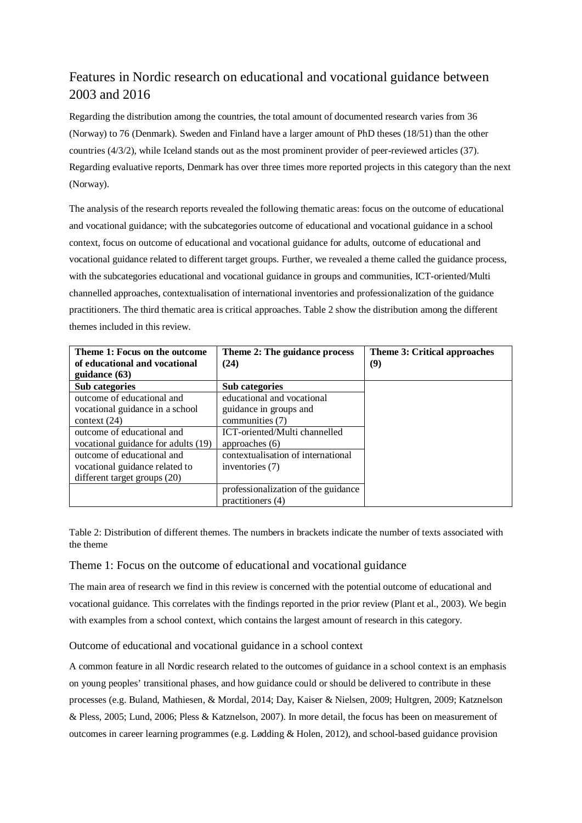# Features in Nordic research on educational and vocational guidance between 2003 and 2016

Regarding the distribution among the countries, the total amount of documented research varies from 36 (Norway) to 76 (Denmark). Sweden and Finland have a larger amount of PhD theses (18/51) than the other countries (4/3/2), while Iceland stands out as the most prominent provider of peer-reviewed articles (37). Regarding evaluative reports, Denmark has over three times more reported projects in this category than the next (Norway).

The analysis of the research reports revealed the following thematic areas: focus on the outcome of educational and vocational guidance; with the subcategories outcome of educational and vocational guidance in a school context, focus on outcome of educational and vocational guidance for adults, outcome of educational and vocational guidance related to different target groups. Further, we revealed a theme called the guidance process, with the subcategories educational and vocational guidance in groups and communities, ICT-oriented/Multi channelled approaches, contextualisation of international inventories and professionalization of the guidance practitioners. The third thematic area is critical approaches. Table 2 show the distribution among the different themes included in this review.

| Theme 1: Focus on the outcome       | Theme 2: The guidance process       | Theme 3: Critical approaches |
|-------------------------------------|-------------------------------------|------------------------------|
| of educational and vocational       | (24)                                | (9)                          |
| guidance (63)                       |                                     |                              |
| Sub categories                      | Sub categories                      |                              |
| outcome of educational and          | educational and vocational          |                              |
| vocational guidance in a school     | guidance in groups and              |                              |
| context $(24)$                      | communities (7)                     |                              |
| outcome of educational and          | ICT-oriented/Multi channelled       |                              |
| vocational guidance for adults (19) | approaches $(6)$                    |                              |
| outcome of educational and          | contextualisation of international  |                              |
| vocational guidance related to      | inventories (7)                     |                              |
| different target groups (20)        |                                     |                              |
|                                     | professionalization of the guidance |                              |
|                                     | practitioners (4)                   |                              |

Table 2: Distribution of different themes. The numbers in brackets indicate the number of texts associated with the theme

# Theme 1: Focus on the outcome of educational and vocational guidance

The main area of research we find in this review is concerned with the potential outcome of educational and vocational guidance. This correlates with the findings reported in the prior review (Plant et al., 2003). We begin with examples from a school context, which contains the largest amount of research in this category.

## Outcome of educational and vocational guidance in a school context

A common feature in all Nordic research related to the outcomes of guidance in a school context is an emphasis on young peoples' transitional phases, and how guidance could or should be delivered to contribute in these processes (e.g. Buland, Mathiesen, & Mordal, 2014; Day, Kaiser & Nielsen, 2009; Hultgren, 2009; Katznelson & Pless, 2005; Lund, 2006; Pless & Katznelson, 2007). In more detail, the focus has been on measurement of outcomes in career learning programmes (e.g. Lødding & Holen, 2012), and school-based guidance provision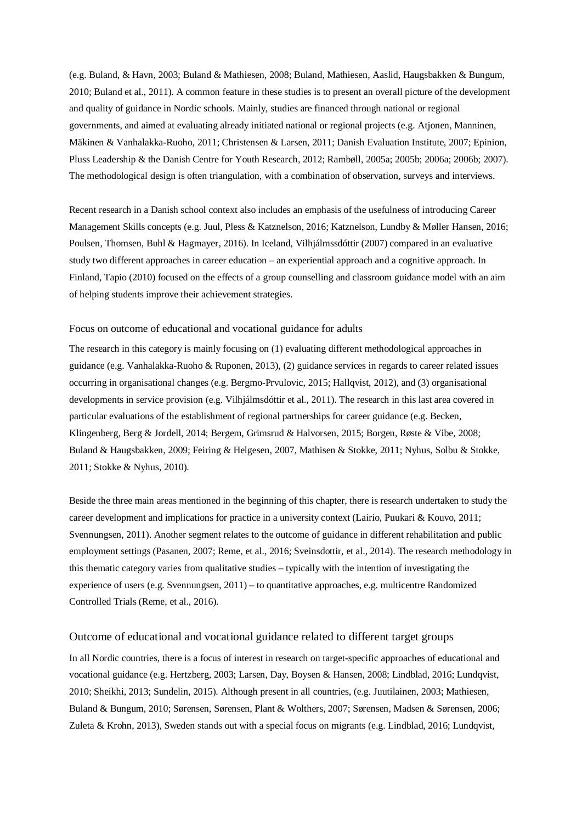(e.g. Buland, & Havn, 2003; Buland & Mathiesen, 2008; Buland, Mathiesen, Aaslid, Haugsbakken & Bungum, 2010; Buland et al., 2011). A common feature in these studies is to present an overall picture of the development and quality of guidance in Nordic schools. Mainly, studies are financed through national or regional governments, and aimed at evaluating already initiated national or regional projects (e.g. Atjonen, Manninen, Mäkinen & Vanhalakka-Ruoho, 2011; Christensen & Larsen, 2011; Danish Evaluation Institute, 2007; Epinion, Pluss Leadership & the Danish Centre for Youth Research, 2012; Rambøll, 2005a; 2005b; 2006a; 2006b; 2007). The methodological design is often triangulation, with a combination of observation, surveys and interviews.

Recent research in a Danish school context also includes an emphasis of the usefulness of introducing Career Management Skills concepts (e.g. Juul, Pless & Katznelson, 2016; Katznelson, Lundby & Møller Hansen, 2016; Poulsen, Thomsen, Buhl & Hagmayer, 2016). In Iceland, Vilhjálmssdóttir (2007) compared in an evaluative study two different approaches in career education – an experiential approach and a cognitive approach. In Finland, Tapio (2010) focused on the effects of a group counselling and classroom guidance model with an aim of helping students improve their achievement strategies.

#### Focus on outcome of educational and vocational guidance for adults

The research in this category is mainly focusing on (1) evaluating different methodological approaches in guidance (e.g. Vanhalakka-Ruoho & Ruponen, 2013), (2) guidance services in regards to career related issues occurring in organisational changes (e.g. Bergmo-Prvulovic, 2015; Hallqvist, 2012), and (3) organisational developments in service provision (e.g. Vilhjálmsdóttir et al., 2011). The research in this last area covered in particular evaluations of the establishment of regional partnerships for career guidance (e.g. Becken, Klingenberg, Berg & Jordell, 2014; Bergem, Grimsrud & Halvorsen, 2015; Borgen, Røste & Vibe, 2008; Buland & Haugsbakken, 2009; Feiring & Helgesen, 2007, Mathisen & Stokke, 2011; Nyhus, Solbu & Stokke, 2011; Stokke & Nyhus, 2010).

Beside the three main areas mentioned in the beginning of this chapter, there is research undertaken to study the career development and implications for practice in a university context (Lairio, Puukari & Kouvo, 2011; Svennungsen, 2011). Another segment relates to the outcome of guidance in different rehabilitation and public employment settings (Pasanen, 2007; Reme, et al., 2016; Sveinsdottir, et al., 2014). The research methodology in this thematic category varies from qualitative studies – typically with the intention of investigating the experience of users (e.g. Svennungsen, 2011) – to quantitative approaches, e.g. multicentre Randomized Controlled Trials (Reme, et al., 2016).

# Outcome of educational and vocational guidance related to different target groups

In all Nordic countries, there is a focus of interest in research on target-specific approaches of educational and vocational guidance (e.g. Hertzberg, 2003; Larsen, Day, Boysen & Hansen, 2008; Lindblad, 2016; Lundqvist, 2010; Sheikhi, 2013; Sundelin, 2015). Although present in all countries, (e.g. Juutilainen, 2003; Mathiesen, Buland & Bungum, 2010; Sørensen, Sørensen, Plant & Wolthers, 2007; Sørensen, Madsen & Sørensen, 2006; Zuleta & Krohn, 2013), Sweden stands out with a special focus on migrants (e.g. Lindblad, 2016; Lundqvist,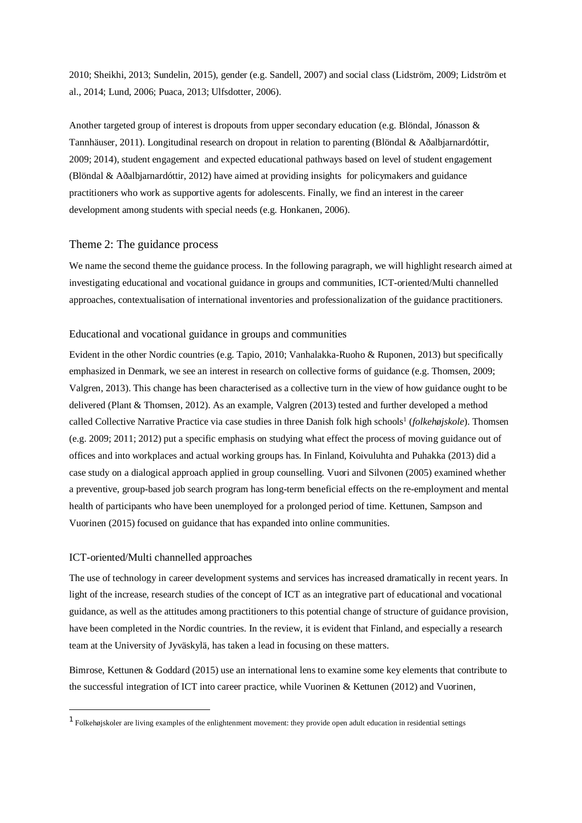2010; Sheikhi, 2013; Sundelin, 2015), gender (e.g. Sandell, 2007) and social class (Lidström, 2009; Lidström et al., 2014; Lund, 2006; Puaca, 2013; Ulfsdotter, 2006).

Another targeted group of interest is dropouts from upper secondary education (e.g. Blöndal, Jónasson & Tannhäuser, 2011). Longitudinal research on dropout in relation to parenting (Blöndal & Aðalbjarnardóttir, 2009; 2014), student engagement and expected educational pathways based on level of student engagement (Blöndal & Aðalbjarnardóttir, 2012) have aimed at providing insights for policymakers and guidance practitioners who work as supportive agents for adolescents. Finally, we find an interest in the career development among students with special needs (e.g. Honkanen, 2006).

### Theme 2: The guidance process

We name the second theme the guidance process. In the following paragraph, we will highlight research aimed at investigating educational and vocational guidance in groups and communities, ICT-oriented/Multi channelled approaches, contextualisation of international inventories and professionalization of the guidance practitioners.

#### Educational and vocational guidance in groups and communities

Evident in the other Nordic countries (e.g. Tapio, 2010; Vanhalakka-Ruoho & Ruponen, 2013) but specifically emphasized in Denmark, we see an interest in research on collective forms of guidance (e.g. Thomsen, 2009; Valgren, 2013). This change has been characterised as a collective turn in the view of how guidance ought to be delivered (Plant & Thomsen, 2012). As an example, Valgren (2013) tested and further developed a method called Collective Narrative Practice via case studies in three Danish folk high schools<sup>[1](#page-6-0)</sup> (*folkehøjskole*). Thomsen (e.g. 2009; 2011; 2012) put a specific emphasis on studying what effect the process of moving guidance out of offices and into workplaces and actual working groups has. In Finland, Koivuluhta and Puhakka (2013) did a case study on a dialogical approach applied in group counselling. Vuori and Silvonen (2005) examined whether a preventive, group-based job search program has long-term beneficial effects on the re-employment and mental health of participants who have been unemployed for a prolonged period of time. Kettunen, Sampson and Vuorinen (2015) focused on guidance that has expanded into online communities.

## ICT-oriented/Multi channelled approaches

The use of technology in career development systems and services has increased dramatically in recent years. In light of the increase, research studies of the concept of ICT as an integrative part of educational and vocational guidance, as well as the attitudes among practitioners to this potential change of structure of guidance provision, have been completed in the Nordic countries. In the review, it is evident that Finland, and especially a research team at the University of Jyväskylä, has taken a lead in focusing on these matters.

Bimrose, Kettunen & Goddard (2015) use an international lens to examine some key elements that contribute to the successful integration of ICT into career practice, while Vuorinen & Kettunen (2012) and Vuorinen,

<span id="page-6-0"></span> $<sup>1</sup>$  Folkehøjskoler are living examples of the enlightenment movement: they provide open adult education in residential settings</sup>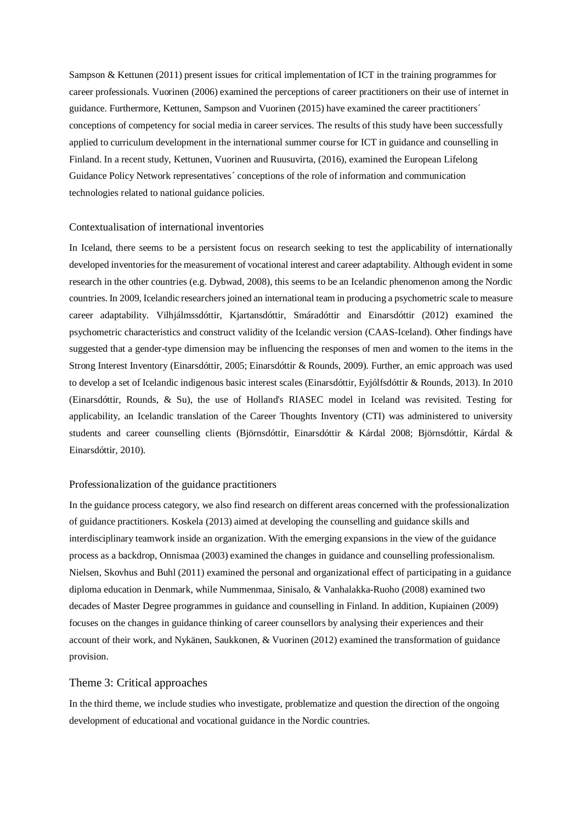Sampson & Kettunen (2011) present issues for critical implementation of ICT in the training programmes for career professionals. Vuorinen (2006) examined the perceptions of career practitioners on their use of internet in guidance. Furthermore, Kettunen, Sampson and Vuorinen (2015) have examined the career practitioners´ conceptions of competency for social media in career services. The results of this study have been successfully applied to curriculum development in the international summer course for ICT in guidance and counselling in Finland. In a recent study, Kettunen, Vuorinen and Ruusuvirta, (2016), examined the European Lifelong Guidance Policy Network representatives´ conceptions of the role of information and communication technologies related to national guidance policies.

#### Contextualisation of international inventories

In Iceland, there seems to be a persistent focus on research seeking to test the applicability of internationally developed inventories for the measurement of vocational interest and career adaptability. Although evident in some research in the other countries (e.g. Dybwad, 2008), this seems to be an Icelandic phenomenon among the Nordic countries. In 2009, Icelandic researchers joined an international team in producing a psychometric scale to measure career adaptability. Vilhjálmssdóttir, Kjartansdóttir, Smáradóttir and Einarsdóttir (2012) examined the psychometric characteristics and construct validity of the Icelandic version (CAAS-Iceland). Other findings have suggested that a gender-type dimension may be influencing the responses of men and women to the items in the Strong Interest Inventory (Einarsdóttir, 2005; Einarsdóttir & Rounds, 2009). Further, an emic approach was used to develop a set of Icelandic indigenous basic interest scales (Einarsdóttir, Eyjólfsdóttir & Rounds, 2013). In 2010 (Einarsdóttir, Rounds, & Su), the use of Holland's RIASEC model in Iceland was revisited. Testing for applicability, an Icelandic translation of the Career Thoughts Inventory (CTI) was administered to university students and career counselling clients (Björnsdóttir, Einarsdóttir & Kárdal 2008; Björnsdóttir, Kárdal & Einarsdóttir, 2010).

#### Professionalization of the guidance practitioners

In the guidance process category, we also find research on different areas concerned with the professionalization of guidance practitioners. Koskela (2013) aimed at developing the counselling and guidance skills and interdisciplinary teamwork inside an organization. With the emerging expansions in the view of the guidance process as a backdrop, Onnismaa (2003) examined the changes in guidance and counselling professionalism. Nielsen, Skovhus and Buhl (2011) examined the personal and organizational effect of participating in a guidance diploma education in Denmark, while Nummenmaa, Sinisalo, & Vanhalakka-Ruoho (2008) examined two decades of Master Degree programmes in guidance and counselling in Finland. In addition, Kupiainen (2009) focuses on the changes in guidance thinking of career counsellors by analysing their experiences and their account of their work, and Nykänen, Saukkonen, & Vuorinen (2012) examined the transformation of guidance provision.

#### Theme 3: Critical approaches

In the third theme, we include studies who investigate, problematize and question the direction of the ongoing development of educational and vocational guidance in the Nordic countries.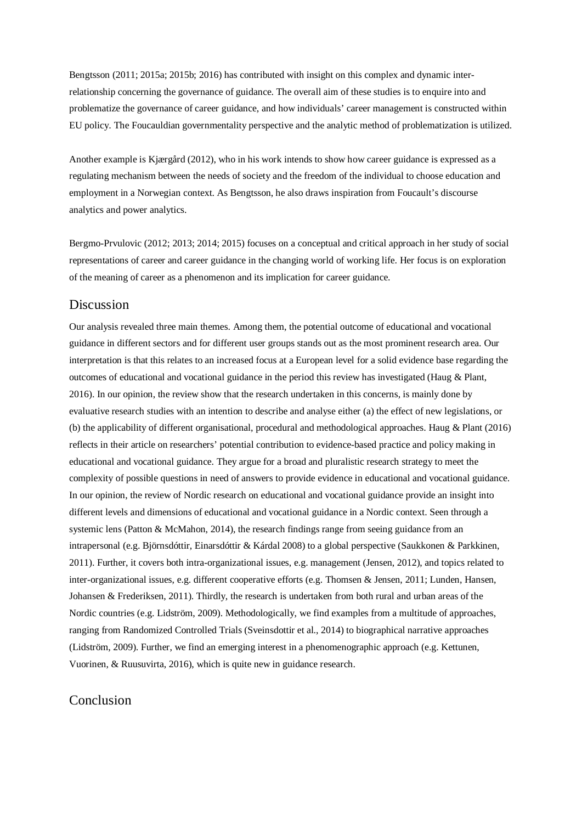Bengtsson (2011; 2015a; 2015b; 2016) has contributed with insight on this complex and dynamic interrelationship concerning the governance of guidance. The overall aim of these studies is to enquire into and problematize the governance of career guidance, and how individuals' career management is constructed within EU policy. The Foucauldian governmentality perspective and the analytic method of problematization is utilized.

Another example is Kjærgård (2012), who in his work intends to show how career guidance is expressed as a regulating mechanism between the needs of society and the freedom of the individual to choose education and employment in a Norwegian context. As Bengtsson, he also draws inspiration from Foucault's discourse analytics and power analytics.

Bergmo-Prvulovic (2012; 2013; 2014; 2015) focuses on a conceptual and critical approach in her study of social representations of career and career guidance in the changing world of working life. Her focus is on exploration of the meaning of career as a phenomenon and its implication for career guidance.

# Discussion

Our analysis revealed three main themes. Among them, the potential outcome of educational and vocational guidance in different sectors and for different user groups stands out as the most prominent research area. Our interpretation is that this relates to an increased focus at a European level for a solid evidence base regarding the outcomes of educational and vocational guidance in the period this review has investigated (Haug & Plant, 2016). In our opinion, the review show that the research undertaken in this concerns, is mainly done by evaluative research studies with an intention to describe and analyse either (a) the effect of new legislations, or (b) the applicability of different organisational, procedural and methodological approaches. Haug & Plant (2016) reflects in their article on researchers' potential contribution to evidence-based practice and policy making in educational and vocational guidance. They argue for a broad and pluralistic research strategy to meet the complexity of possible questions in need of answers to provide evidence in educational and vocational guidance. In our opinion, the review of Nordic research on educational and vocational guidance provide an insight into different levels and dimensions of educational and vocational guidance in a Nordic context. Seen through a systemic lens (Patton & McMahon, 2014), the research findings range from seeing guidance from an intrapersonal (e.g. Björnsdóttir, Einarsdóttir & Kárdal 2008) to a global perspective (Saukkonen & Parkkinen, 2011). Further, it covers both intra-organizational issues, e.g. management (Jensen, 2012), and topics related to inter-organizational issues, e.g. different cooperative efforts (e.g. Thomsen & Jensen, 2011; Lunden, Hansen, Johansen & Frederiksen, 2011). Thirdly, the research is undertaken from both rural and urban areas of the Nordic countries (e.g. Lidström, 2009). Methodologically, we find examples from a multitude of approaches, ranging from Randomized Controlled Trials (Sveinsdottir et al., 2014) to biographical narrative approaches (Lidström, 2009). Further, we find an emerging interest in a phenomenographic approach (e.g. Kettunen, Vuorinen, & Ruusuvirta, 2016), which is quite new in guidance research.

# Conclusion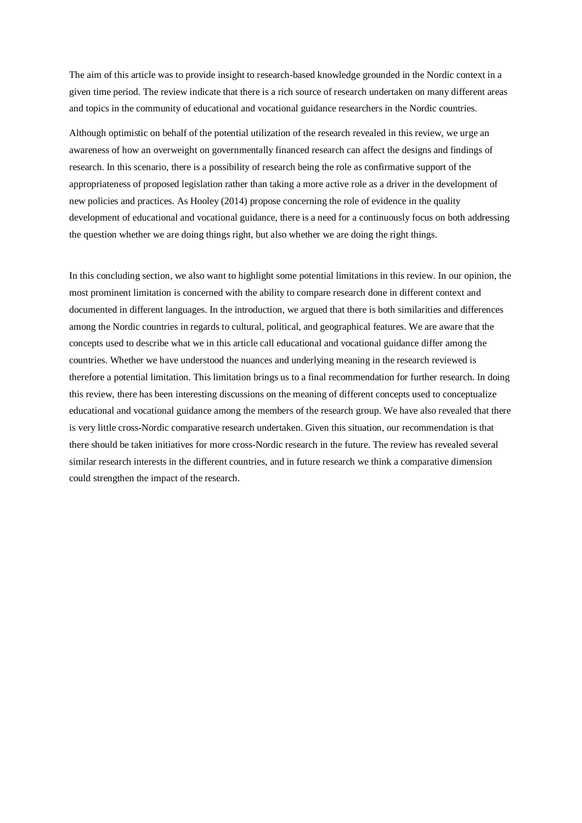The aim of this article was to provide insight to research-based knowledge grounded in the Nordic context in a given time period. The review indicate that there is a rich source of research undertaken on many different areas and topics in the community of educational and vocational guidance researchers in the Nordic countries.

Although optimistic on behalf of the potential utilization of the research revealed in this review, we urge an awareness of how an overweight on governmentally financed research can affect the designs and findings of research. In this scenario, there is a possibility of research being the role as confirmative support of the appropriateness of proposed legislation rather than taking a more active role as a driver in the development of new policies and practices. As Hooley (2014) propose concerning the role of evidence in the quality development of educational and vocational guidance, there is a need for a continuously focus on both addressing the question whether we are doing things right, but also whether we are doing the right things.

In this concluding section, we also want to highlight some potential limitations in this review. In our opinion, the most prominent limitation is concerned with the ability to compare research done in different context and documented in different languages. In the introduction, we argued that there is both similarities and differences among the Nordic countries in regards to cultural, political, and geographical features. We are aware that the concepts used to describe what we in this article call educational and vocational guidance differ among the countries. Whether we have understood the nuances and underlying meaning in the research reviewed is therefore a potential limitation. This limitation brings us to a final recommendation for further research. In doing this review, there has been interesting discussions on the meaning of different concepts used to conceptualize educational and vocational guidance among the members of the research group. We have also revealed that there is very little cross-Nordic comparative research undertaken. Given this situation, our recommendation is that there should be taken initiatives for more cross-Nordic research in the future. The review has revealed several similar research interests in the different countries, and in future research we think a comparative dimension could strengthen the impact of the research.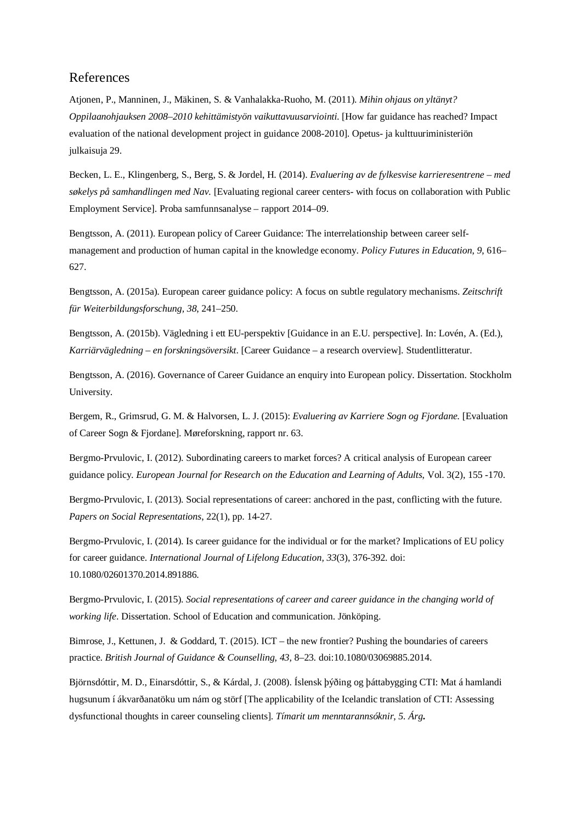# References

Atjonen, P., Manninen, J., Mäkinen, S. & Vanhalakka-Ruoho, M. (2011). *Mihin ohjaus on yltänyt? Oppilaanohjauksen 2008–2010 kehittämistyön vaikuttavuusarviointi.* [How far guidance has reached? Impact evaluation of the national development project in guidance 2008-2010]. Opetus- ja kulttuuriministeriön julkaisuja 29.

Becken, L. E., Klingenberg, S., Berg, S. & Jordel, H. (2014). *Evaluering av de fylkesvise karrieresentrene – med søkelys på samhandlingen med Nav.* [Evaluating regional career centers- with focus on collaboration with Public Employment Service]. Proba samfunnsanalyse – rapport 2014–09.

Bengtsson, A. (2011). European policy of Career Guidance: The interrelationship between career selfmanagement and production of human capital in the knowledge economy. *Policy Futures in Education*, *9*, 616– 627.

Bengtsson, A. (2015a). European career guidance policy: A focus on subtle regulatory mechanisms. *Zeitschrift für Weiterbildungsforschung, 38*, 241–250.

Bengtsson, A. (2015b). Vägledning i ett EU-perspektiv [Guidance in an E.U. perspective]. In: Lovén, A. (Ed.), *Karriärvägledning – en forskningsöversikt*. [Career Guidance – a research overview]. Studentlitteratur.

Bengtsson, A. (2016). Governance of Career Guidance an enquiry into European policy. Dissertation. Stockholm University.

Bergem, R., Grimsrud, G. M. & Halvorsen, L. J. (2015): *Evaluering av Karriere Sogn og Fjordane.* [Evaluation of Career Sogn & Fjordane]. Møreforskning, rapport nr. 63.

Bergmo-Prvulovic, I. (2012). Subordinating careers to market forces? A critical analysis of European career guidance policy. *European Journal for Research on the Education and Learning of Adults*, Vol. 3(2), 155 -170.

Bergmo-Prvulovic, I. (2013). Social representations of career: anchored in the past, conflicting with the future. *Papers on Social Representations*, 22(1), pp. 14-27.

Bergmo-Prvulovic, I. (2014). Is career guidance for the individual or for the market? Implications of EU policy for career guidance. *International Journal of Lifelong Education, 33*(3), 376-392. doi: 10.1080/02601370.2014.891886.

Bergmo-Prvulovic, I. (2015). *Social representations of career and career guidance in the changing world of working life*. Dissertation. School of Education and communication. Jönköping.

Bimrose, J., Kettunen, J. & Goddard, T. (2015). ICT – the new frontier? Pushing the boundaries of careers practice. *British Journal of Guidance & Counselling, 43,* 8–23*.* doi:10.1080/03069885.2014.

Björnsdóttir, M. D., Einarsdóttir, S., & Kárdal, J. (2008). Íslensk þýðing og þáttabygging CTI: Mat á hamlandi hugsunum í ákvarðanatöku um nám og störf [The applicability of the Icelandic translation of CTI: Assessing dysfunctional thoughts in career counseling clients]. *Tímarit um menntarannsóknir, 5. Árg***.**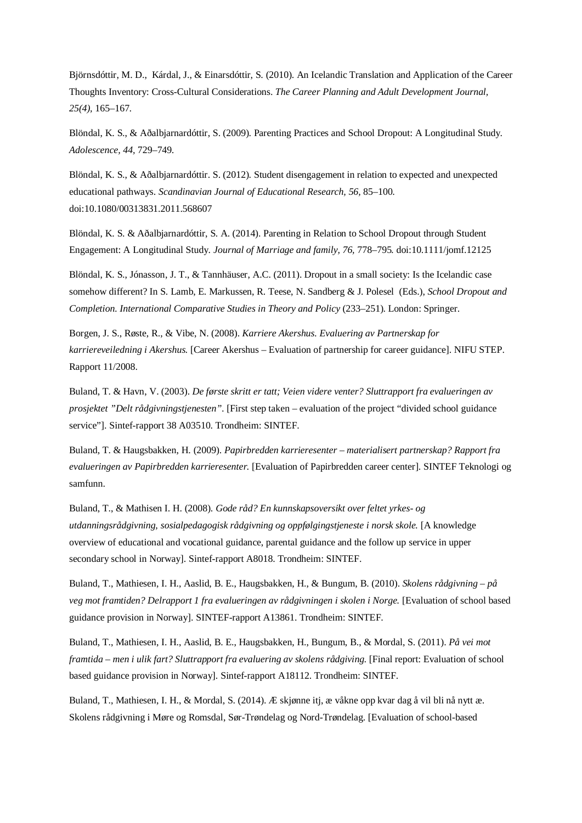Björnsdóttir, M. D., Kárdal, J., & Einarsdóttir, S. (2010). An Icelandic Translation and Application of the Career Thoughts Inventory: Cross-Cultural Considerations. *The Career Planning and Adult Development Journal, 25(4),* 165–167*.*

Blöndal, K. S., & Aðalbjarnardóttir, S. (2009). Parenting Practices and School Dropout: A Longitudinal Study. *Adolescence, 44,* 729–749*.*

Blöndal, K. S., & Aðalbjarnardóttir. S. (2012). Student disengagement in relation to expected and unexpected educational pathways. *Scandinavian Journal of Educational Research, 56,* 85–100*.* doi:10.1080/00313831.2011.568607

Blöndal, K. S. & Aðalbjarnardóttir, S. A. (2014). Parenting in Relation to School Dropout through Student Engagement: A Longitudinal Study. *Journal of Marriage and family, 76,* 778–795*.* doi:10.1111/jomf.12125

Blöndal, K. S., Jónasson, J. T., & Tannhäuser, A.C. (2011). Dropout in a small society: Is the Icelandic case somehow different? In S. Lamb, E. Markussen, R. Teese, N. Sandberg & J. Polesel (Eds.), *School Dropout and Completion. International Comparative Studies in Theory and Policy* (233–251). London: Springer.

Borgen, J. S., Røste, R., & Vibe, N. (2008). *Karriere Akershus. Evaluering av Partnerskap for karriereveiledning i Akershus.* [Career Akershus – Evaluation of partnership for career guidance]. NIFU STEP. Rapport 11/2008.

Buland, T. & Havn, V. (2003). *De første skritt er tatt; Veien videre venter? Sluttrapport fra evalueringen av prosjektet "Delt rådgivningstjenesten".* [First step taken – evaluation of the project "divided school guidance service"]. Sintef-rapport 38 A03510. Trondheim: SINTEF.

Buland, T. & Haugsbakken, H. (2009). *Papirbredden karrieresenter – materialisert partnerskap? Rapport fra evalueringen av Papirbredden karrieresenter.* [Evaluation of Papirbredden career center]. SINTEF Teknologi og samfunn.

Buland, T., & Mathisen I. H. (2008). *Gode råd? En kunnskapsoversikt over feltet yrkes- og utdanningsrådgivning, sosialpedagogisk rådgivning og oppfølgingstjeneste i norsk skole.* [A knowledge overview of educational and vocational guidance, parental guidance and the follow up service in upper secondary school in Norway]. Sintef-rapport A8018. Trondheim: SINTEF.

Buland, T., Mathiesen, I. H., Aaslid, B. E., Haugsbakken, H., & Bungum, B. (2010). *Skolens rådgivning – på veg mot framtiden? Delrapport 1 fra evalueringen av rådgivningen i skolen i Norge.* [Evaluation of school based guidance provision in Norway]. SINTEF-rapport A13861. Trondheim: SINTEF.

Buland, T., Mathiesen, I. H., Aaslid, B. E., Haugsbakken, H., Bungum, B., & Mordal, S. (2011). *På vei mot framtida – men i ulik fart? Sluttrapport fra evaluering av skolens rådgiving.* [Final report: Evaluation of school based guidance provision in Norway]. Sintef-rapport A18112. Trondheim: SINTEF.

Buland, T., Mathiesen, I. H., & Mordal, S. (2014). Æ skjønne itj, æ våkne opp kvar dag å vil bli nå nytt æ. Skolens rådgivning i Møre og Romsdal, Sør-Trøndelag og Nord-Trøndelag. [Evaluation of school-based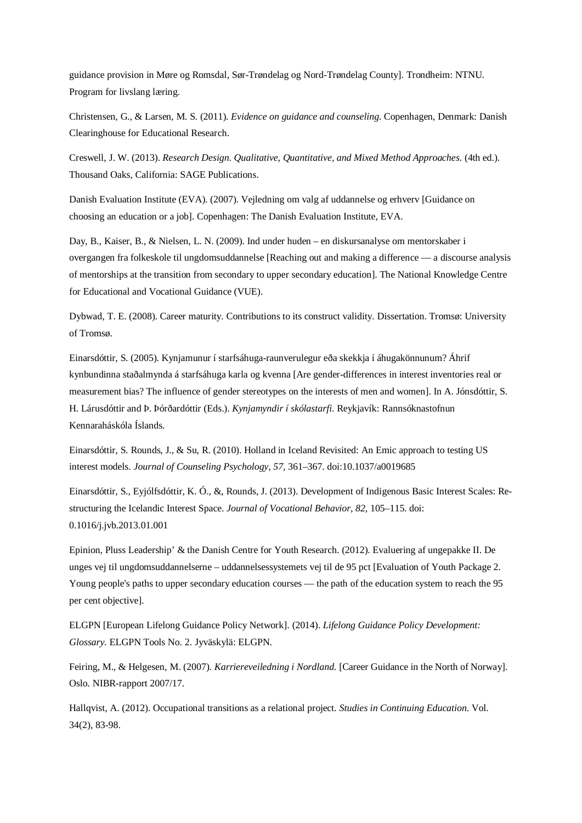guidance provision in Møre og Romsdal, Sør-Trøndelag og Nord-Trøndelag County]. Trondheim: NTNU. Program for livslang læring.

Christensen, G., & Larsen, M. S. (2011). *Evidence on guidance and counseling*. Copenhagen, Denmark: Danish Clearinghouse for Educational Research.

Creswell, J. W. (2013). *Research Design. Qualitative, Quantitative, and Mixed Method Approaches*. (4th ed.). Thousand Oaks, California: SAGE Publications.

Danish Evaluation Institute (EVA). (2007). Vejledning om valg af uddannelse og erhverv [Guidance on choosing an education or a job]. Copenhagen: The Danish Evaluation Institute, EVA.

Day, B., Kaiser, B., & Nielsen, L. N. (2009). Ind under huden – en diskursanalyse om mentorskaber i overgangen fra folkeskole til ungdomsuddannelse [Reaching out and making a difference — a discourse analysis of mentorships at the transition from secondary to upper secondary education]. The National Knowledge Centre for Educational and Vocational Guidance (VUE).

Dybwad, T. E. (2008). Career maturity. Contributions to its construct validity. Dissertation. Tromsø: University of Tromsø.

Einarsdóttir, S. (2005). Kynjamunur í starfsáhuga-raunverulegur eða skekkja í áhugakönnunum? Áhrif kynbundinna staðalmynda á starfsáhuga karla og kvenna [Are gender-differences in interest inventories real or measurement bias? The influence of gender stereotypes on the interests of men and women]. In A. Jónsdóttir, S. H. Lárusdóttir and Þ. Þórðardóttir (Eds.). *Kynjamyndir í skólastarfi*. Reykjavík: Rannsóknastofnun Kennaraháskóla Íslands.

Einarsdóttir, S. Rounds, J., & Su, R. (2010). Holland in Iceland Revisited: An Emic approach to testing US interest models. *Journal of Counseling Psychology, 57,* 361–367*.* doi:10.1037/a0019685

Einarsdóttir, S., Eyjólfsdóttir, K. Ó., &, Rounds, J. (2013). Development of Indigenous Basic Interest Scales: Restructuring the Icelandic Interest Space. *Journal of Vocational Behavior, 82,* 105–115. doi: 0.1016/j.jvb.2013.01.001

Epinion, Pluss Leadership' & the Danish Centre for Youth Research. (2012). Evaluering af ungepakke II. De unges vej til ungdomsuddannelserne – uddannelsessystemets vej til de 95 pct [Evaluation of Youth Package 2. Young people's paths to upper secondary education courses — the path of the education system to reach the 95 per cent objective].

ELGPN [European Lifelong Guidance Policy Network]. (2014). *Lifelong Guidance Policy Development: Glossary.* ELGPN Tools No. 2. Jyväskylä: ELGPN.

Feiring, M., & Helgesen, M. (2007). *Karriereveiledning i Nordland.* [Career Guidance in the North of Norway]. Oslo. NIBR-rapport 2007/17.

Hallqvist, A. (2012). Occupational transitions as a relational project. *Studies in Continuing Education*. Vol. 34(2), 83-98.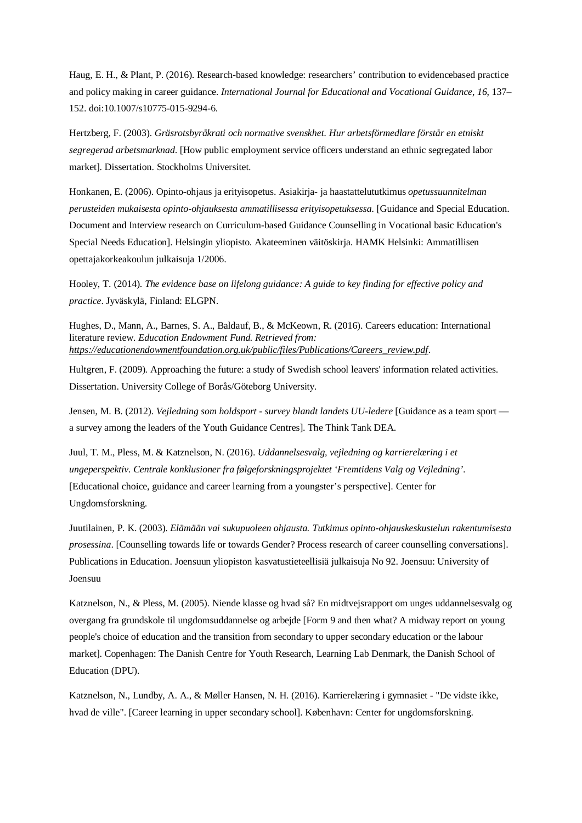Haug, E. H., & Plant, P. (2016). Research-based knowledge: researchers' contribution to evidencebased practice and policy making in career guidance. *International Journal for Educational and Vocational Guidance*, *16*, 137– 152. doi:10.1007/s10775-015-9294-6.

Hertzberg, F. (2003). *Gräsrotsbyråkrati och normative svenskhet. Hur arbetsförmedlare förstår en etniskt segregerad arbetsmarknad*. [How public employment service officers understand an ethnic segregated labor market]. Dissertation. Stockholms Universitet.

Honkanen, E. (2006). Opinto-ohjaus ja erityisopetus. Asiakirja- ja haastattelututkimus *opetussuunnitelman perusteiden mukaisesta opinto-ohjauksesta ammatillisessa erityisopetuksessa.* [Guidance and Special Education. Document and Interview research on Curriculum-based Guidance Counselling in Vocational basic Education's Special Needs Education]. Helsingin yliopisto. Akateeminen väitöskirja. HAMK Helsinki: Ammatillisen opettajakorkeakoulun julkaisuja 1/2006.

Hooley, T. (2014). *The evidence base on lifelong guidance: A guide to key finding for effective policy and practice*. Jyväskylä, Finland: ELGPN.

Hughes, D., Mann, A., Barnes, S. A., Baldauf, B., & McKeown, R. (2016). Careers education: International literature review. *Education Endowment Fund. Retrieved from: [https://educationendowmentfoundation.org.uk/public/files/Publications/Careers\\_review.pdf](https://educationendowmentfoundation.org.uk/public/files/Publications/Careers_review.pdf)*.

Hultgren, F. (2009). Approaching the future: a study of Swedish school leavers' information related activities. Dissertation. University College of Borås/Göteborg University.

Jensen, M. B. (2012). *Vejledning som holdsport - survey blandt landets UU-ledere* [Guidance as a team sport a survey among the leaders of the Youth Guidance Centres]. The Think Tank DEA.

Juul, T. M., Pless, M. & Katznelson, N. (2016). *Uddannelsesvalg, vejledning og karrierelæring i et ungeperspektiv. Centrale konklusioner fra følgeforskningsprojektet 'Fremtidens Valg og Vejledning'*. [Educational choice, guidance and career learning from a youngster's perspective]. Center for Ungdomsforskning.

Juutilainen, P. K. (2003). *Elämään vai sukupuoleen ohjausta. Tutkimus opinto-ohjauskeskustelun rakentumisesta prosessina*. [Counselling towards life or towards Gender? Process research of career counselling conversations]. Publications in Education. Joensuun yliopiston kasvatustieteellisiä julkaisuja No 92. Joensuu: University of Joensuu

Katznelson, N., & Pless, M. (2005). Niende klasse og hvad så? En midtvejsrapport om unges uddannelsesvalg og overgang fra grundskole til ungdomsuddannelse og arbejde [Form 9 and then what? A midway report on young people's choice of education and the transition from secondary to upper secondary education or the labour market]. Copenhagen: The Danish Centre for Youth Research, Learning Lab Denmark, the Danish School of Education (DPU).

Katznelson, N., Lundby, A. A., & Møller Hansen, N. H. (2016). Karrierelæring i gymnasiet - "De vidste ikke, hvad de ville". [Career learning in upper secondary school]. København: Center for ungdomsforskning.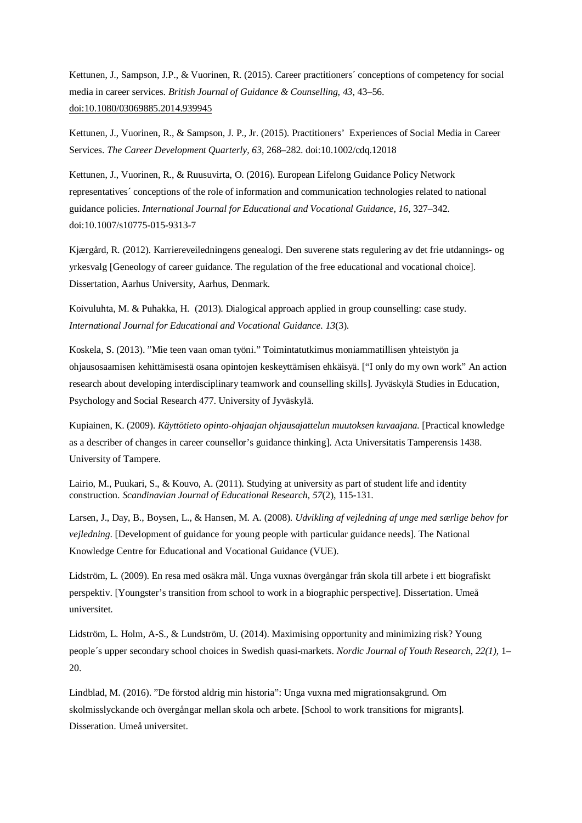Kettunen, J., Sampson, J.P., & Vuorinen, R. (2015). Career practitioners´ conceptions of competency for social media in career services. *British Journal of Guidance & Counselling*, *43*, 43–56[.](http://dx.doi.org/10.1080/03069885.2014.939945) doi:10.1080/03069885.2014.939945

Kettunen, J., Vuorinen, R., & Sampson, J. P., Jr. (2015). Practitioners' Experiences of Social Media in Career Services. *The Career Development Quarterly*, *63*, 268–282. doi:10.1002/cdq.12018

Kettunen, J., Vuorinen, R., & Ruusuvirta, O. (2016). European Lifelong Guidance Policy Network representatives´ conceptions of the role of information and communication technologies related to national guidance policies. *International Journal for Educational and Vocational Guidance, 16*, 327–342. doi:10.1007/s10775-015-9313-7

Kjærgård, R. (2012). Karriereveiledningens genealogi. Den suverene stats regulering av det frie utdannings- og yrkesvalg [Geneology of career guidance. The regulation of the free educational and vocational choice]. Dissertation, Aarhus University, Aarhus, Denmark.

Koivuluhta, M. & Puhakka, H. (2013). Dialogical approach applied in group counselling: case study. *International Journal for Educational and Vocational Guidance. 13*(3).

Koskela, S. (2013). "Mie teen vaan oman työni." Toimintatutkimus moniammatillisen yhteistyön ja ohjausosaamisen kehittämisestä osana opintojen keskeyttämisen ehkäisyä. ["I only do my own work" An action research about developing interdisciplinary teamwork and counselling skills]. Jyväskylä Studies in Education, Psychology and Social Research 477. University of Jyväskylä.

Kupiainen, K. (2009). *Käyttötieto opinto-ohjaajan ohjausajattelun muutoksen kuvaajana.* [Practical knowledge as a describer of changes in career counsellor's guidance thinking]. Acta Universitatis Tamperensis 1438. University of Tampere.

Lairio, M., Puukari, S., & Kouvo, A. (2011). Studying at university as part of student life and identity construction. *Scandinavian Journal of Educational Research, 57*(2), 115-131.

Larsen, J., Day, B., Boysen, L., & Hansen, M. A. (2008). *Udvikling af vejledning af unge med særlige behov for vejledning*. [Development of guidance for young people with particular guidance needs]. The National Knowledge Centre for Educational and Vocational Guidance (VUE).

Lidström, L. (2009). En resa med osäkra mål. Unga vuxnas övergångar från skola till arbete i ett biografiskt perspektiv. [Youngster's transition from school to work in a biographic perspective]. Dissertation. Umeå universitet.

Lidström, L. Holm, A-S., & Lundström, U. (2014). Maximising opportunity and minimizing risk? Young people´s upper secondary school choices in Swedish quasi-markets. *Nordic Journal of Youth Research*, *22(1),* 1– 20.

Lindblad, M. (2016). "De förstod aldrig min historia": Unga vuxna med migrationsakgrund. Om skolmisslyckande och övergångar mellan skola och arbete. [School to work transitions for migrants]. Disseration. Umeå universitet.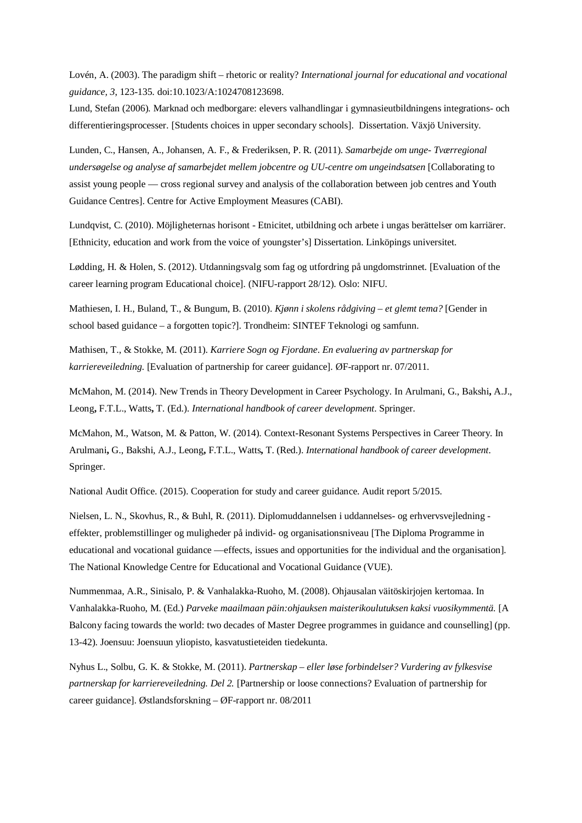Lovén, A. (2003). The paradigm shift – rhetoric or reality? *International journal for educational and vocational guidance, 3*, 123-135. doi:10.1023/A:1024708123698.

Lund, Stefan (2006). Marknad och medborgare: elevers valhandlingar i gymnasieutbildningens integrations- och differentieringsprocesser. [Students choices in upper secondary schools]. Dissertation. Växjö University.

Lunden, C., Hansen, A., Johansen, A. F., & Frederiksen, P. R. (2011). *Samarbejde om unge- Tværregional undersøgelse og analyse af samarbejdet mellem jobcentre og UU-centre om ungeindsatsen* [Collaborating to assist young people — cross regional survey and analysis of the collaboration between job centres and Youth Guidance Centres]. Centre for Active Employment Measures (CABI).

Lundqvist, C. (2010). Möjligheternas horisont - Etnicitet, utbildning och arbete i ungas berättelser om karriärer. [Ethnicity, education and work from the voice of youngster's] Dissertation. Linköpings universitet.

Lødding, H. & Holen, S. (2012). Utdanningsvalg som fag og utfordring på ungdomstrinnet. [Evaluation of the career learning program Educational choice]. (NIFU-rapport 28/12). Oslo: NIFU.

Mathiesen, I. H., Buland, T., & Bungum, B. (2010). *Kjønn i skolens rådgiving – et glemt tema?* [Gender in school based guidance – a forgotten topic?]. Trondheim: SINTEF Teknologi og samfunn.

Mathisen, T., & Stokke, M. (2011). *Karriere Sogn og Fjordane*. *En evaluering av partnerskap for karriereveiledning*. [Evaluation of partnership for career guidance]. ØF-rapport nr. 07/2011.

McMahon, M. (2014). New Trends in Theory Development in Career Psychology. In Arulmani, G., Bakshi**,** A.J., Leong**,** F.T.L., Watts**,** T. (Ed.). *International handbook of career development*. Springer.

McMahon, M., Watson, M. & Patton, W. (2014). Context-Resonant Systems Perspectives in Career Theory. In Arulmani**,** G., Bakshi, A.J., Leong**,** F.T.L., Watts**,** T. (Red.). *International handbook of career development*. Springer.

National Audit Office. (2015). Cooperation for study and career guidance. Audit report 5/2015.

Nielsen, L. N., Skovhus, R., & Buhl, R. (2011). Diplomuddannelsen i uddannelses- og erhvervsvejledning effekter, problemstillinger og muligheder på individ- og organisationsniveau [The Diploma Programme in educational and vocational guidance —effects, issues and opportunities for the individual and the organisation]. The National Knowledge Centre for Educational and Vocational Guidance (VUE).

Nummenmaa, A.R., Sinisalo, P. & Vanhalakka-Ruoho, M. (2008). Ohjausalan väitöskirjojen kertomaa. In Vanhalakka-Ruoho, M. (Ed.) *Parveke maailmaan päin:ohjauksen maisterikoulutuksen kaksi vuosikymmentä*. [A Balcony facing towards the world: two decades of Master Degree programmes in guidance and counselling] (pp. 13-42). Joensuu: Joensuun yliopisto, kasvatustieteiden tiedekunta.

Nyhus L., Solbu, G. K. & Stokke, M. (2011). *Partnerskap – eller løse forbindelser? Vurdering av fylkesvise partnerskap for karriereveiledning. Del 2.* [Partnership or loose connections? Evaluation of partnership for career guidance]. Østlandsforskning – ØF-rapport nr. 08/2011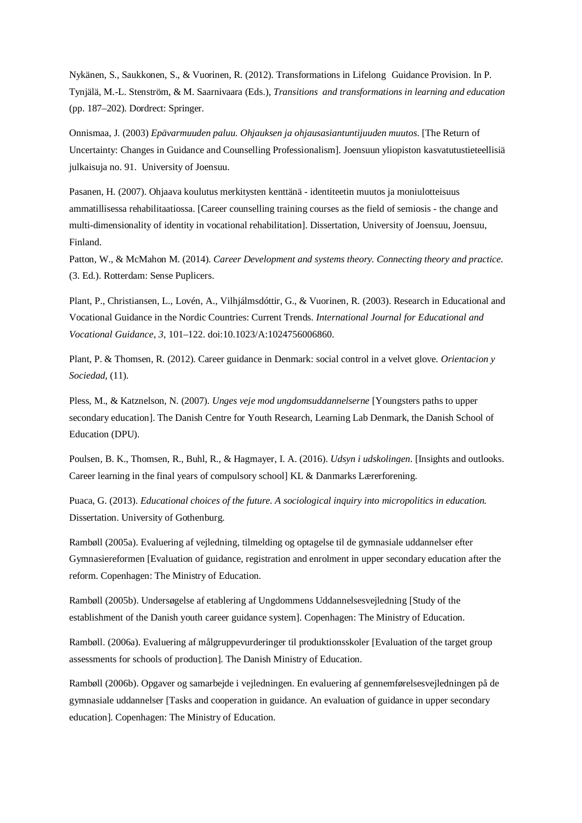Nykänen, S., Saukkonen, S., & Vuorinen, R. (2012). Transformations in Lifelong Guidance Provision. In P. Tynjälä, M.-L. Stenström, & M. Saarnivaara (Eds.), *Transitions and transformations in learning and education* (pp. 187–202). Dordrect: Springer.

Onnismaa, J. (2003) *Epävarmuuden paluu. Ohjauksen ja ohjausasiantuntijuuden muutos*. [The Return of Uncertainty: Changes in Guidance and Counselling Professionalism]. Joensuun yliopiston kasvatutustieteellisiä julkaisuja no. 91. University of Joensuu.

Pasanen, H. (2007). Ohjaava koulutus merkitysten kenttänä - identiteetin muutos ja moniulotteisuus ammatillisessa rehabilitaatiossa. [Career counselling training courses as the field of semiosis - the change and multi-dimensionality of identity in vocational rehabilitation]. Dissertation, University of Joensuu, Joensuu, Finland.

Patton, W., & McMahon M. (2014). *Career Development and systems theory. Connecting theory and practice.* (3. Ed.). Rotterdam: Sense Puplicers.

Plant, P., Christiansen, L., Lovén, A., Vilhjálmsdóttir, G., & Vuorinen, R. (2003). Research in Educational and Vocational Guidance in the Nordic Countries: Current Trends. *International Journal for Educational and Vocational Guidance*, *3*, 101–122. doi:10.1023/A:1024756006860.

[Plant, P.](http://pure.au.dk/portal/da/persons/peter-plant(f0741f34-8f86-421b-bcd0-620d495b9202).html) [& Thomsen, R.](http://pure.au.dk/portal/da/persons/rie-thomsen(6565627f-17c2-4b50-9e51-1d7f0352d939).html) (2012). Career guidance in Denmark: social control in a velvet glove. *Orientacion y Sociedad*, (11).

Pless, M., & Katznelson, N. (2007). *Unges veje mod ungdomsuddannelserne* [Youngsters paths to upper secondary education]. The Danish Centre for Youth Research, Learning Lab Denmark, the Danish School of Education (DPU).

Poulsen, B. K., Thomsen, R., Buhl, R., & Hagmayer, I. A. (2016). *Udsyn i udskolingen*. [Insights and outlooks. Career learning in the final years of compulsory school] KL & Danmarks Lærerforening.

Puaca, G. (2013). *Educational choices of the future. A sociological inquiry into micropolitics in education.* Dissertation. University of Gothenburg.

Rambøll (2005a). Evaluering af vejledning, tilmelding og optagelse til de gymnasiale uddannelser efter Gymnasiereformen [Evaluation of guidance, registration and enrolment in upper secondary education after the reform. Copenhagen: The Ministry of Education.

Rambøll (2005b). Undersøgelse af etablering af Ungdommens Uddannelsesvejledning [Study of the establishment of the Danish youth career guidance system]. Copenhagen: The Ministry of Education.

Rambøll. (2006a). Evaluering af målgruppevurderinger til produktionsskoler [Evaluation of the target group assessments for schools of production]. The Danish Ministry of Education.

Rambøll (2006b). Opgaver og samarbejde i vejledningen. En evaluering af gennemførelsesvejledningen på de gymnasiale uddannelser [Tasks and cooperation in guidance. An evaluation of guidance in upper secondary education]. Copenhagen: The Ministry of Education.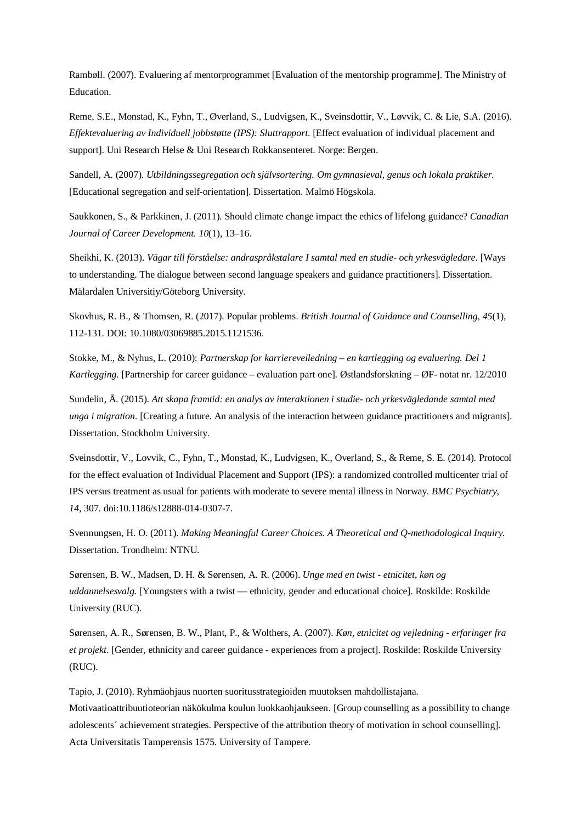Rambøll. (2007). Evaluering af mentorprogrammet [Evaluation of the mentorship programme]. The Ministry of Education.

Reme, S.E., Monstad, K., Fyhn, T., Øverland, S., Ludvigsen, K., Sveinsdottir, V., Løvvik, C. & Lie, S.A. (2016). *Effektevaluering av Individuell jobbstøtte (IPS): Sluttrapport*. [Effect evaluation of individual placement and support]. Uni Research Helse & Uni Research Rokkansenteret. Norge: Bergen.

Sandell, A. (2007). *Utbildningssegregation och självsortering. Om gymnasieval, genus och lokala praktiker*. [Educational segregation and self-orientation]. Dissertation. Malmö Högskola.

Saukkonen, S., & Parkkinen, J. (2011). Should climate change impact the ethics of lifelong guidance? *Canadian Journal of Career Development. 10*(1), 13–16.

Sheikhi, K. (2013). *Vägar till förståelse: andraspråkstalare I samtal med en studie- och yrkesvägledare*. [Ways to understanding. The dialogue between second language speakers and guidance practitioners]. Dissertation. Mälardalen Universitiy/Göteborg University.

Skovhus, R. B., & Thomsen, R. (2017). Popular problems. *British Journal of Guidance and Counselling*, *45*(1), 112-131. DOI: 10.1080/03069885.2015.1121536.

Stokke, M., & Nyhus, L. (2010): *Partnerskap for karriereveiledning – en kartlegging og evaluering. Del 1 Kartlegging.* [Partnership for career guidance – evaluation part one]. Østlandsforskning – ØF- notat nr. 12/2010

Sundelin, Å. (2015). *Att skapa framtid: en analys av interaktionen i studie- och yrkesvägledande samtal med unga i migration*. [Creating a future. An analysis of the interaction between guidance practitioners and migrants]. Dissertation. Stockholm University.

Sveinsdottir, V., Lovvik, C., Fyhn, T., Monstad, K., Ludvigsen, K., Overland, S., & Reme, S. E. (2014). Protocol for the effect evaluation of Individual Placement and Support (IPS): a randomized controlled multicenter trial of IPS versus treatment as usual for patients with moderate to severe mental illness in Norway. *BMC Psychiatry, 14*, 307. doi:10.1186/s12888-014-0307-7.

Svennungsen, H. O. (2011). *Making Meaningful Career Choices. A Theoretical and Q-methodological Inquiry.* Dissertation. Trondheim: NTNU.

Sørensen, B. W., Madsen, D. H. & Sørensen, A. R. (2006). *Unge med en twist - etnicitet, køn og uddannelsesvalg.* [Youngsters with a twist — ethnicity, gender and educational choice]. Roskilde: Roskilde University (RUC).

Sørensen, A. R., Sørensen, B. W., Plant, P., & Wolthers, A. (2007). *Køn, etnicitet og vejledning - erfaringer fra et projekt*. [Gender, ethnicity and career guidance - experiences from a project]. Roskilde: Roskilde University (RUC).

Tapio, J. (2010). Ryhmäohjaus nuorten suoritusstrategioiden muutoksen mahdollistajana. Motivaatioattribuutioteorian näkökulma koulun luokkaohjaukseen. [Group counselling as a possibility to change adolescents´ achievement strategies. Perspective of the attribution theory of motivation in school counselling]. Acta Universitatis Tamperensis 1575. University of Tampere.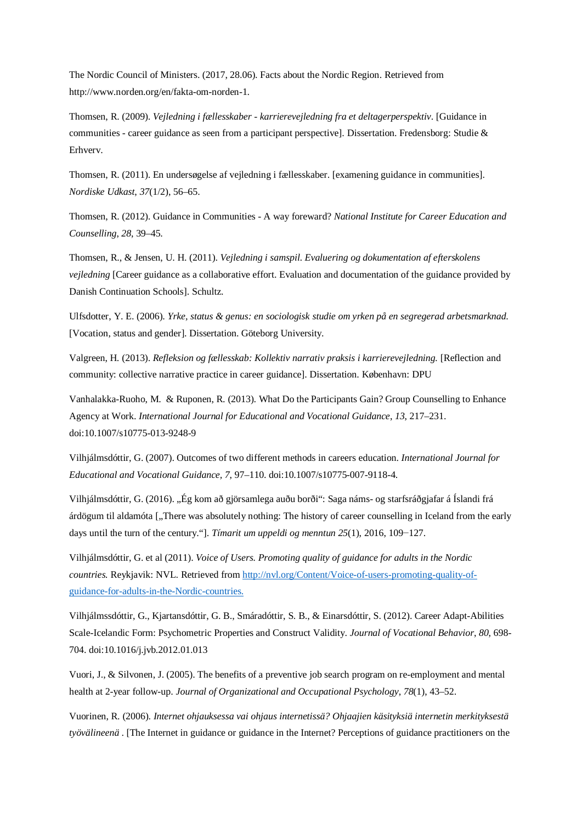The Nordic Council of Ministers. (2017, 28.06). Facts about the Nordic Region. Retrieved from http://www.norden.org/en/fakta-om-norden-1.

Thomsen, R. (2009). *Vejledning i fællesskaber - karrierevejledning fra et deltagerperspektiv*. [Guidance in communities - career guidance as seen from a participant perspective]. Dissertation. Fredensborg: Studie & Erhverv.

Thomsen, R. (2011). En undersøgelse af vejledning i fællesskaber. [examening guidance in communities]. *Nordiske Udkast*, *37*(1/2), 56–65.

Thomsen, R. (2012). Guidance in Communities - A way foreward? *National Institute for Career Education and Counselling*, *28*, 39–45.

Thomsen, R., & Jensen, U. H. (2011). *Vejledning i samspil. Evaluering og dokumentation af efterskolens vejledning* [Career guidance as a collaborative effort. Evaluation and documentation of the guidance provided by Danish Continuation Schools]. Schultz.

Ulfsdotter, Y. E. (2006). *[Yrke, status & genus: en sociologisk studie om yrken på en segregerad arbetsmarknad](https://gupea.ub.gu.se/handle/2077/16843)*. [Vocation, status and gender]. Dissertation. Göteborg University.

Valgreen, H. (2013). *Refleksion og fællesskab: Kollektiv narrativ praksis i karrierevejledning.* [Reflection and community: collective narrative practice in career guidance]. Dissertation. København: DPU

Vanhalakka-Ruoho, M. & Ruponen, R. (2013). What Do the Participants Gain? Group Counselling to Enhance Agency at Work. *International Journal for Educational and Vocational Guidance*, *13*, 217–231. doi:10.1007/s10775-013-9248-9

Vilhjálmsdóttir, G. (2007). Outcomes of two different methods in careers education. *International Journal for Educational and Vocational Guidance, 7*, 97–110. doi:10.1007/s10775-007-9118-4.

Vilhjálmsdóttir, G. (2016). "Ég kom að gjörsamlega auðu borði": Saga náms- og starfsráðgjafar á Íslandi frá árdögum til aldamóta ["There was absolutely nothing: The history of career counselling in Iceland from the early days until the turn of the century."]. *Tímarit um uppeldi og menntun 25*(1), 2016, 109−127.

Vilhjálmsdóttir, G. et al (2011). *Voice of Users. Promoting quality of guidance for adults in the Nordic countries.* Reykjavik: NVL. Retrieved from [http://nvl.org/Content/Voice-of-users-promoting-quality-of](http://nvl.org/Content/Voice-of-users-promoting-quality-of-guidance-for-adults-in-the-Nordic-countries)[guidance-for-adults-in-the-Nordic-countries.](http://nvl.org/Content/Voice-of-users-promoting-quality-of-guidance-for-adults-in-the-Nordic-countries)

Vilhjálmssdóttir, G., Kjartansdóttir, G. B., Smáradóttir, S. B., & Einarsdóttir, S. (2012). Career Adapt-Abilities Scale-Icelandic Form: Psychometric Properties and Construct Validity. *Journal of Vocational Behavior*, *80*, 698- 704. doi:10.1016/j.jvb.2012.01.013

Vuori, J., & Silvonen, J. (2005). The benefits of a preventive job search program on re-employment and mental health at 2-year follow-up. *Journal of Organizational and Occupational Psychology*, *78*(1), 43–52.

Vuorinen, R. (2006). *Internet ohjauksessa vai ohjaus internetissä? Ohjaajien käsityksiä internetin merkityksestä työvälineenä* . [The Internet in guidance or guidance in the Internet? Perceptions of guidance practitioners on the